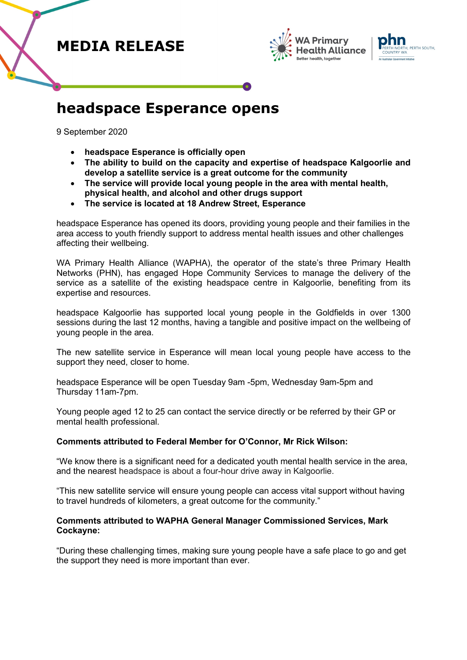## **MEDIA RELEASE**





## **headspace Esperance opens**

9 September 2020

- **headspace Esperance is officially open**
- **The ability to build on the capacity and expertise of headspace Kalgoorlie and develop a satellite service is a great outcome for the community**
- **The service will provide local young people in the area with mental health, physical health, and alcohol and other drugs support**
- **The service is located at 18 Andrew Street, Esperance**

headspace Esperance has opened its doors, providing young people and their families in the area access to youth friendly support to address mental health issues and other challenges affecting their wellbeing.

WA Primary Health Alliance (WAPHA), the operator of the state's three Primary Health Networks (PHN), has engaged Hope Community Services to manage the delivery of the service as a satellite of the existing headspace centre in Kalgoorlie, benefiting from its expertise and resources.

headspace Kalgoorlie has supported local young people in the Goldfields in over 1300 sessions during the last 12 months, having a tangible and positive impact on the wellbeing of young people in the area.

The new satellite service in Esperance will mean local young people have access to the support they need, closer to home.

headspace Esperance will be open Tuesday 9am -5pm, Wednesday 9am-5pm and Thursday 11am-7pm.

Young people aged 12 to 25 can contact the service directly or be referred by their GP or mental health professional.

### **Comments attributed to Federal Member for O'Connor, Mr Rick Wilson:**

"We know there is a significant need for a dedicated youth mental health service in the area, and the nearest headspace is about a four-hour drive away in Kalgoorlie.

"This new satellite service will ensure young people can access vital support without having to travel hundreds of kilometers, a great outcome for the community."

### **Comments attributed to WAPHA General Manager Commissioned Services, Mark Cockayne:**

"During these challenging times, making sure young people have a safe place to go and get the support they need is more important than ever.